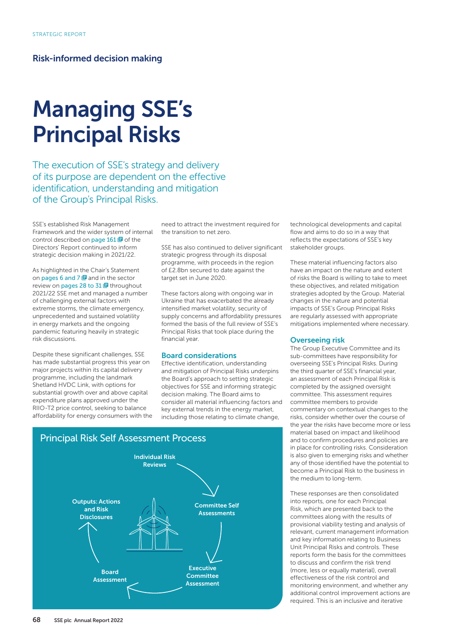# Risk-informed decision making

# Managing SSE's Principal Risks

The execution of SSE's strategy and delivery of its purpose are dependent on the effective identification, understanding and mitigation of the Group's Principal Risks.

SSE's established Risk Management Framework and the wider system of internal control described on page  $161 \boxtimes$  of the Directors' Report continued to inform strategic decision making in 2021/22.

As highlighted in the Chair's Statement on pages 6 and 7  $\blacksquare$  and in the sector review on pages 28 to  $31 \text{ E}$  throughout 2021/22 SSE met and managed a number of challenging external factors with extreme storms, the climate emergency, unprecedented and sustained volatility in energy markets and the ongoing pandemic featuring heavily in strategic risk discussions.

Despite these significant challenges, SSE has made substantial progress this year on major projects within its capital delivery programme, including the landmark Shetland HVDC Link, with options for substantial growth over and above capital expenditure plans approved under the RIIO-T2 price control, seeking to balance affordability for energy consumers with the

need to attract the investment required for the transition to net zero.

SSE has also continued to deliver significant strategic progress through its disposal programme, with proceeds in the region of £2.8bn secured to date against the target set in June 2020.

These factors along with ongoing war in Ukraine that has exacerbated the already intensified market volatility, security of supply concerns and affordability pressures formed the basis of the full review of SSE's Principal Risks that took place during the financial year.

#### Board considerations

Effective identification, understanding and mitigation of Principal Risks underpins the Board's approach to setting strategic objectives for SSE and informing strategic decision making. The Board aims to consider all material influencing factors and key external trends in the energy market, including those relating to climate change,



technological developments and capital flow and aims to do so in a way that reflects the expectations of SSE's key stakeholder groups.

These material influencing factors also have an impact on the nature and extent of risks the Board is willing to take to meet these objectives, and related mitigation strategies adopted by the Group. Material changes in the nature and potential impacts of SSE's Group Principal Risks are regularly assessed with appropriate mitigations implemented where necessary.

#### Overseeing risk

The Group Executive Committee and its sub-committees have responsibility for overseeing SSE's Principal Risks. During the third quarter of SSE's financial year, an assessment of each Principal Risk is completed by the assigned oversight committee. This assessment requires committee members to provide commentary on contextual changes to the risks, consider whether over the course of the year the risks have become more or less material based on impact and likelihood and to confirm procedures and policies are in place for controlling risks. Consideration is also given to emerging risks and whether any of those identified have the potential to become a Principal Risk to the business in the medium to long-term.

These responses are then consolidated into reports, one for each Principal Risk, which are presented back to the committees along with the results of provisional viability testing and analysis of relevant, current management information and key information relating to Business Unit Principal Risks and controls. These reports form the basis for the committees to discuss and confirm the risk trend (more, less or equally material), overall effectiveness of the risk control and monitoring environment, and whether any additional control improvement actions are required. This is an inclusive and iterative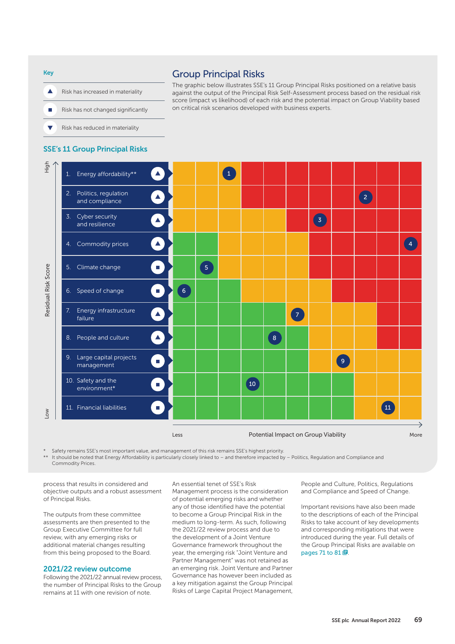Key  $\blacktriangle$ Risk has increased in materiality Ħ Risk has not changed significantly  $\overline{\phantom{0}}$ Risk has reduced in materiality

# Group Principal Risks

The graphic below illustrates SSE's 11 Group Principal Risks positioned on a relative basis against the output of the Principal Risk Self-Assessment process based on the residual risk score (impact vs likelihood) of each risk and the potential impact on Group Viability based on critical risk scenarios developed with business experts.

#### SSE's 11 Group Principal Risks



\* Safety remains SSE's most important value, and management of this risk remains SSE's highest priority. It should be noted that Energy Affordability is particularly closely linked to – and therefore impacted by – Politics, Regulation and Compliance and Commodity Prices.

process that results in considered and objective outputs and a robust assessment of Principal Risks.

The outputs from these committee assessments are then presented to the Group Executive Committee for full review, with any emerging risks or additional material changes resulting from this being proposed to the Board.

#### 2021/22 review outcome

Following the 2021/22 annual review process, the number of Principal Risks to the Group remains at 11 with one revision of note.

An essential tenet of SSE's Risk Management process is the consideration of potential emerging risks and whether any of those identified have the potential to become a Group Principal Risk in the medium to long-term. As such, following the 2021/22 review process and due to the development of a Joint Venture Governance framework throughout the year, the emerging risk "Joint Venture and Partner Management" was not retained as an emerging risk. Joint Venture and Partner Governance has however been included as a key mitigation against the Group Principal Risks of Large Capital Project Management, People and Culture, Politics, Regulations and Compliance and Speed of Change.

Important revisions have also been made to the descriptions of each of the Principal Risks to take account of key developments and corresponding mitigations that were introduced during the year. Full details of the Group Principal Risks are available on pages 71 to  $81 \boxtimes$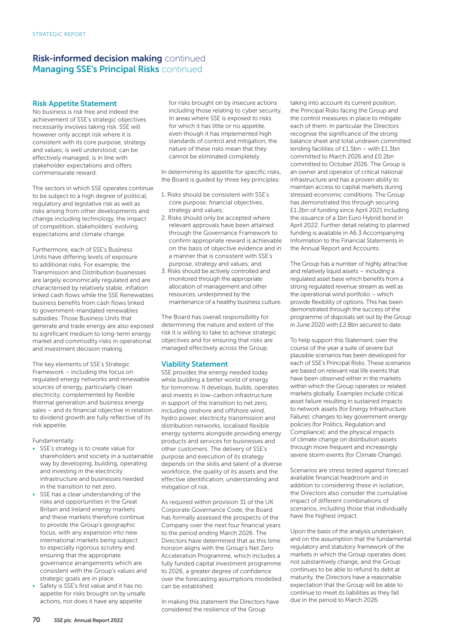# **Risk-informed decision making continued Managing SSE's Principal Risks** continued

#### Risk Appetite Statement

No business is risk free and indeed the achievement of SSE's strategic objectives necessarily involves taking risk. SSE will however only accept risk where it is consistent with its core purpose, strategy and values; is well understood; can be effectively managed; is in line with stakeholder expectations and offers commensurate reward.

The sectors in which SSE operates continue to be subject to a high degree of political, regulatory and legislative risk as well as risks arising from other developments and change including technology, the impact of competition, stakeholders' evolving expectations and climate change.

Furthermore, each of SSE's Business Units have differing levels of exposure to additional risks. For example, the Transmission and Distribution businesses are largely economically regulated and are characterised by relatively stable, inflation linked cash flows while the SSE Renewables business benefits from cash flows linked to government-mandated renewables subsidies. Those Business Units that generate and trade energy are also exposed to significant medium to long-term energy market and commodity risks in operational and investment decision making.

The key elements of SSE's Strategic Framework – including the focus on regulated energy networks and renewable sources of energy, particularly clean electricity, complemented by flexible thermal generation and business energy sales – and its financial objective in relation to dividend growth are fully reflective of its risk appetite.

Fundamentally:

- SSE's strategy is to create value for shareholders and society in a sustainable way by developing, building, operating and investing in the electricity infrastructure and businesses needed in the transition to net zero.
- SSE has a clear understanding of the risks and opportunities in the Great Britain and Ireland energy markets and these markets therefore continue to provide the Group's geographic focus, with any expansion into new international markets being subject to especially rigorous scrutiny and ensuring that the appropriate governance arrangements which are consistent with the Group's values and strategic goals are in place.
- Safety is SSE's first value and it has no appetite for risks brought on by unsafe actions, nor does it have any appetite

for risks brought on by insecure actions including those relating to cyber security. In areas where SSE is exposed to risks for which it has little or no appetite, even though it has implemented high standards of control and mitigation, the nature of these risks mean that they cannot be eliminated completely.

In determining its appetite for specific risks, the Board is guided by three key principles:

- 1. Risks should be consistent with SSE's core purpose, financial objectives, strategy and values;
- 2. Risks should only be accepted where relevant approvals have been attained through the Governance Framework to confirm appropriate reward is achievable on the basis of objective evidence and in a manner that is consistent with SSE's purpose, strategy and values; and
- 3. Risks should be actively controlled and monitored through the appropriate allocation of management and other resources, underpinned by the maintenance of a healthy business culture.

The Board has overall responsibility for determining the nature and extent of the risk it is willing to take to achieve strategic objectives and for ensuring that risks are managed effectively across the Group.

#### Viability Statement

SSE provides the energy needed today while building a better world of energy for tomorrow. It develops, builds, operates and invests in low-carbon infrastructure in support of the transition to net zero, including onshore and offshore wind, hydro power, electricity transmission and distribution networks, localised flexible energy systems alongside providing energy products and services for businesses and other customers. The delivery of SSE's purpose and execution of its strategy depends on the skills and talent of a diverse workforce, the quality of its assets and the effective identification, understanding and mitigation of risk.

As required within provision 31 of the UK Corporate Governance Code, the Board has formally assessed the prospects of the Company over the next four financial years to the period ending March 2026. The Directors have determined that as this time horizon aligns with the Group's Net Zero Acceleration Programme, which includes a fully funded capital investment programme to 2026, a greater degree of confidence over the forecasting assumptions modelled can be established.

In making this statement the Directors have considered the resilience of the Group

taking into account its current position, the Principal Risks facing the Group and the control measures in place to mitigate each of them. In particular the Directors recognise the significance of the strong balance sheet and total undrawn committed lending facilities of £1.5bn – with £1.3bn committed to March 2026 and £0.2bn committed to October 2026. The Group is an owner and operator of critical national infrastructure and has a proven ability to maintain access to capital markets during stressed economic conditions. The Group has demonstrated this through securing £1.2bn of funding since April 2021 including the issuance of a 1bn Euro Hybrid bond in April 2022. Further detail relating to planned funding is available in A6.3 Accompanying Information to the Financial Statements in the Annual Report and Accounts.

The Group has a number of highly attractive and relatively liquid assets – including a regulated asset base which benefits from a strong regulated revenue stream as well as the operational wind portfolio – which provide flexibility of options. This has been demonstrated through the success of the programme of disposals set out by the Group in June 2020 with £2.8bn secured to date.

To help support this Statement, over the course of the year a suite of severe but plausible scenarios has been developed for each of SSE's Principal Risks. These scenarios are based on relevant real life events that have been observed either in the markets within which the Group operates or related markets globally. Examples include critical asset failure resulting in sustained impacts to network assets (for Energy Infrastructure Failure); changes to key government energy policies (for Politics, Regulation and Compliance); and the physical impacts of climate change on distribution assets through more frequent and increasingly severe storm events (for Climate Change).

Scenarios are stress tested against forecast available financial headroom and in addition to considering these in isolation, the Directors also consider the cumulative impact of different combinations of scenarios, including those that individually have the highest impact.

Upon the basis of the analysis undertaken, and on the assumption that the fundamental regulatory and statutory framework of the markets in which the Group operates does not substantively change, and the Group continues to be able to refund its debt at maturity, the Directors have a reasonable expectation that the Group will be able to continue to meet its liabilities as they fall due in the period to March 2026.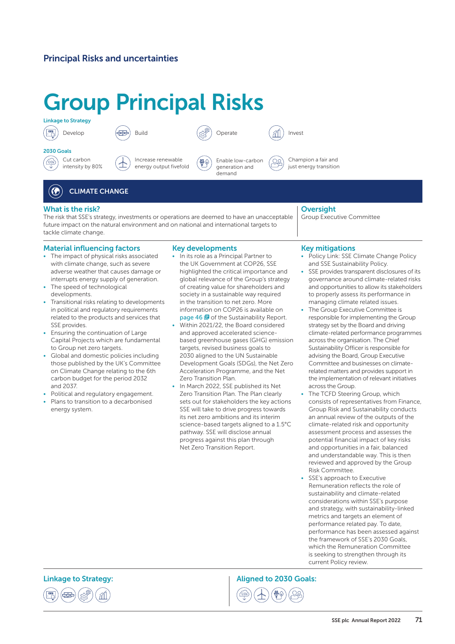# Principal Risks and uncertainties

# Group Principal Risks



2030 Goals

Develop



Cut carbon  $\left(\frac{\sqrt{2}}{2}\right)$ intensity by 80%



ξ₩ energy output fivefold



Champion a fair and just energy transition

ုလ္

#### $\left( \bigodot \right)$ CLIMATE CHANGE

#### What is the risk?

The risk that SSE's strategy, investments or operations are deemed to have an unacceptable future impact on the natural environment and on national and international targets to tackle climate change.

#### Material influencing factors

- The impact of physical risks associated with climate change, such as severe adverse weather that causes damage or interrupts energy supply of generation.
- The speed of technological developments.
- Transitional risks relating to developments in political and regulatory requirements related to the products and services that SSE provides.
- Ensuring the continuation of Large Capital Projects which are fundamental to Group net zero targets.
- Global and domestic policies including those published by the UK's Committee on Climate Change relating to the 6th carbon budget for the period 2032 and 2037.
- Political and regulatory engagement.
- Plans to transition to a decarbonised energy system.

#### Key developments

- In its role as a Principal Partner to the UK Government at COP26, SSE highlighted the critical importance and global relevance of the Group's strategy of creating value for shareholders and society in a sustainable way required in the transition to net zero. More information on COP26 is available on page 46 **同** of the Sustainability Report.
- Within 2021/22, the Board considered and approved accelerated sciencebased greenhouse gases (GHG) emission targets, revised business goals to 2030 aligned to the UN Sustainable Development Goals (SDGs), the Net Zero Acceleration Programme, and the Net Zero Transition Plan.
- In March 2022, SSE published its Net Zero Transition Plan. The Plan clearly sets out for stakeholders the key actions SSE will take to drive progress towards its net zero ambitions and its interim science-based targets aligned to a 1.5°C pathway. SSE will disclose annual progress against this plan through Net Zero Transition Report.

## **Oversight**

Group Executive Committee

#### Key mitigations

- Policy Link: SSE Climate Change Policy and SSE Sustainability Policy.
- SSE provides transparent disclosures of its governance around climate-related risks and opportunities to allow its stakeholders to properly assess its performance in managing climate related issues.
- The Group Executive Committee is responsible for implementing the Group strategy set by the Board and driving climate-related performance programmes across the organisation. The Chief Sustainability Officer is responsible for advising the Board, Group Executive Committee and businesses on climaterelated matters and provides support in the implementation of relevant initiatives across the Group.
- The TCFD Steering Group, which consists of representatives from Finance, Group Risk and Sustainability conducts an annual review of the outputs of the climate-related risk and opportunity assessment process and assesses the potential financial impact of key risks and opportunities in a fair, balanced and understandable way. This is then reviewed and approved by the Group Risk Committee.
- SSE's approach to Executive Remuneration reflects the role of sustainability and climate-related considerations within SSE's purpose and strategy, with sustainability-linked metrics and targets an element of performance related pay. To date, performance has been assessed against the framework of SSE's 2030 Goals, which the Remuneration Committee is seeking to strengthen through its current Policy review.

Linkage to Strategy: The Communication of the Aligned to 2030 Goals:



SSE plc Annual Report 2022 71

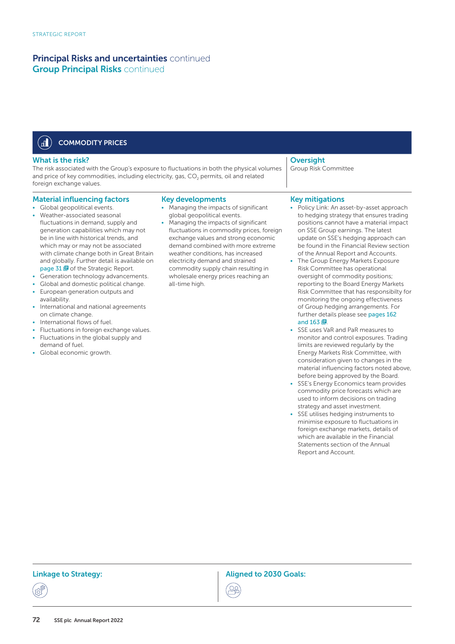#### $\left(\mathbf{d}\right)$ COMMODITY PRICES

#### What is the risk?

The risk associated with the Group's exposure to fluctuations in both the physical volumes and price of key commodities, including electricity, gas, CO<sub>2</sub> permits, oil and related foreign exchange values.

- Material influencing factors
- Global geopolitical events.
- Weather-associated seasonal fluctuations in demand, supply and generation capabilities which may not be in line with historical trends, and which may or may not be associated with climate change both in Great Britain and globally. Further detail is available on page 31 **o** of the Strategic Report.
- Generation technology advancements.
- Global and domestic political change.
- European generation outputs and availability.
- International and national agreements on climate change.
- International flows of fuel.
- Fluctuations in foreign exchange values. • Fluctuations in the global supply and
- demand of fuel.
- Global economic growth.

#### Key developments

- Managing the impacts of significant global geopolitical events.
- Managing the impacts of significant fluctuations in commodity prices, foreign exchange values and strong economic demand combined with more extreme weather conditions, has increased electricity demand and strained commodity supply chain resulting in wholesale energy prices reaching an all-time high.

### **Oversight**

Group Risk Committee

#### Key mitigations

- Policy Link: An asset-by-asset approach to hedging strategy that ensures trading positions cannot have a material impact on SSE Group earnings. The latest update on SSE's hedging approach can be found in the Financial Review section of the Annual Report and Accounts.
- The Group Energy Markets Exposure Risk Committee has operational oversight of commodity positions; reporting to the Board Energy Markets Risk Committee that has responsibilty for monitoring the ongoing effectiveness of Group hedging arrangements. For further details please see pages 162 and  $163 \text{ B}$
- SSE uses VaR and PaR measures to monitor and control exposures. Trading limits are reviewed regularly by the Energy Markets Risk Committee, with consideration given to changes in the material influencing factors noted above, before being approved by the Board.
- SSE's Energy Economics team provides commodity price forecasts which are used to inform decisions on trading strategy and asset investment.
- SSE utilises hedging instruments to minimise exposure to fluctuations in foreign exchange markets, details of which are available in the Financial Statements section of the Annual Report and Account.

Linkage to Strategy: The Communication of the Aligned to 2030 Goals:

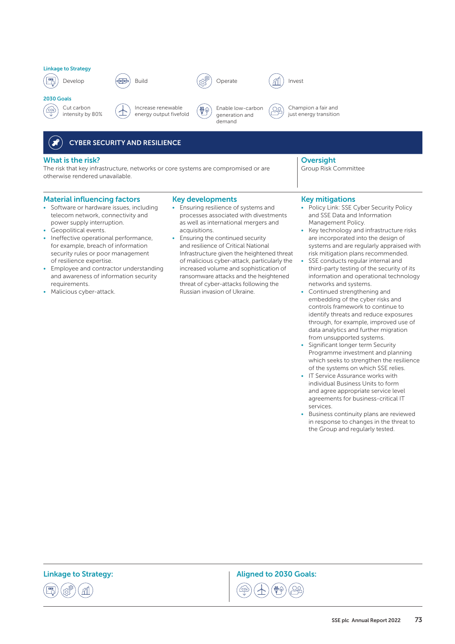

2030 Goals













୍ରୁପ୍

Champion a fair and just energy transition

# CYBER SECURITY AND RESILIENCE

#### What is the risk?

The risk that key infrastructure, networks or core systems are compromised or are otherwise rendered unavailable.

#### Material influencing factors

- Software or hardware issues, including telecom network, connectivity and power supply interruption.
- Geopolitical events.
- Ineffective operational performance, for example, breach of information security rules or poor management of resilience expertise.
- Employee and contractor understanding and awareness of information security requirements.
- Malicious cyber-attack.

#### Key developments

- Ensuring resilience of systems and processes associated with divestments as well as international mergers and acquisitions.
- Ensuring the continued security and resilience of Critical National Infrastructure given the heightened threat of malicious cyber-attack, particularly the increased volume and sophistication of ransomware attacks and the heightened threat of cyber-attacks following the Russian invasion of Ukraine.

#### **Oversight** Group Risk Committee

#### Key mitigations

- Policy Link: SSE Cyber Security Policy and SSE Data and Information Management Policy.
- Key technology and infrastructure risks are incorporated into the design of systems and are regularly appraised with risk mitigation plans recommended.
- SSE conducts regular internal and third-party testing of the security of its information and operational technology networks and systems.
- Continued strengthening and embedding of the cyber risks and controls framework to continue to identify threats and reduce exposures through, for example, improved use of data analytics and further migration from unsupported systems.
- Significant longer term Security Programme investment and planning which seeks to strengthen the resilience of the systems on which SSE relies.
- IT Service Assurance works with individual Business Units to form and agree appropriate service level agreements for business-critical IT services.
- Business continuity plans are reviewed in response to changes in the threat to the Group and regularly tested.



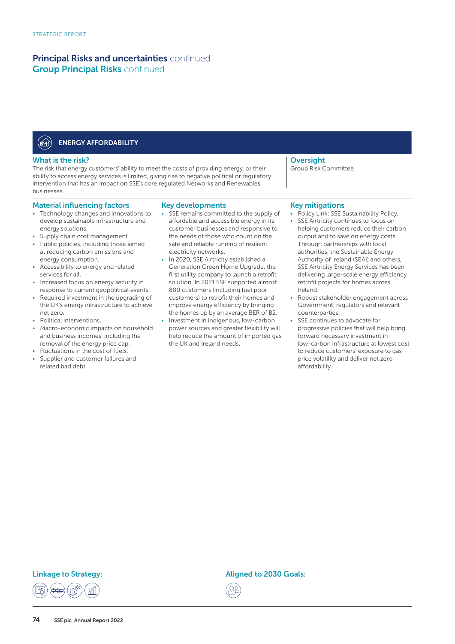#### **OFFIT** ENERGY AFFORDABILITY

#### What is the risk?

The risk that energy customers' ability to meet the costs of providing energy, or their ability to access energy services is limited, giving rise to negative political or regulatory intervention that has an impact on SSE's core regulated Networks and Renewables businesses.

#### Material influencing factors

- Technology changes and innovations to develop sustainable infrastructure and energy solutions.
- Supply chain cost management.
- Public policies, including those aimed at reducing carbon emissions and energy consumption.
- Accessibility to energy and related services for all.
- Increased focus on energy security in response to current geopolitical events.
- Required investment in the upgrading of the UK's energy infrastructure to achieve net zero.
- Political interventions.
- Macro-economic impacts on household and business incomes, including the removal of the energy price cap.
- Fluctuations in the cost of fuels.
- Supplier and customer failures and related bad debt.

#### Key developments

- SSE remains committed to the supply of affordable and accessible energy in its customer businesses and responsive to the needs of those who count on the safe and reliable running of resilient electricity networks.
- In 2020, SSE Airtricity established a Generation Green Home Upgrade, the first utility company to launch a retrofit solution. In 2021 SSE supported almost 800 customers (including fuel poor customers) to retrofit their homes and improve energy efficiency by bringing the homes up by an average BER of B2.
- Investment in indigenous, low-carbon power sources and greater flexibility will help reduce the amount of imported gas the UK and Ireland needs.

#### **Oversight** Group Risk Committee

#### Key mitigations

- Policy Link: SSE Sustainability Policy.
- SSE Airtricity continues to focus on helping customers reduce their carbon output and to save on energy costs. Through partnerships with local authorities, the Sustainable Energy Authority of Ireland (SEAI) and others, SSE Airtricity Energy Services has been delivering large-scale energy efficiency retrofit projects for homes across Ireland.
- Robust stakeholder engagement across Government, regulators and relevant counterparties.
- SSE continues to advocate for progressive policies that will help bring forward necessary investment in low-carbon infrastructure at lowest cost to reduce customers' exposure to gas price volatility and deliver net zero affordability.

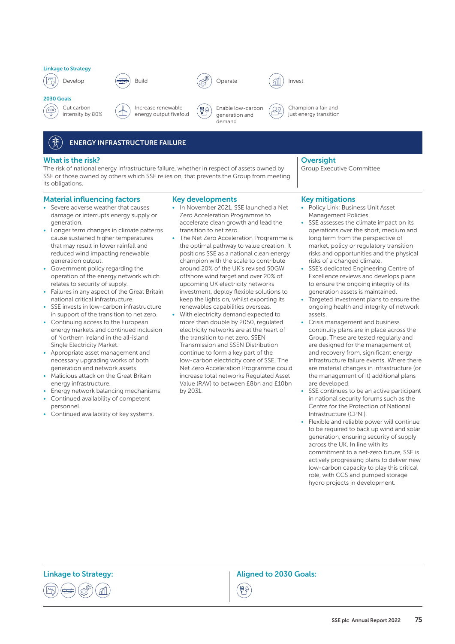

2030 Goals

 $\frac{1}{\sqrt{2}}$ 









Enable low-carbon



Champion a fair and ୍ଠୁତ୍ just energy transition

# ENERGY INFRASTRUCTURE FAILURE

#### What is the risk?

The risk of national energy infrastructure failure, whether in respect of assets owned by SSE or those owned by others which SSE relies on, that prevents the Group from meeting its obligations.

#### Material influencing factors

- Severe adverse weather that causes damage or interrupts energy supply or generation.
- Longer term changes in climate patterns cause sustained higher temperatures that may result in lower rainfall and reduced wind impacting renewable generation output.
- Government policy regarding the operation of the energy network which relates to security of supply.
- Failures in any aspect of the Great Britain national critical infrastructure.
- SSE invests in low-carbon infrastructure in support of the transition to net zero.
- Continuing access to the European energy markets and continued inclusion of Northern Ireland in the all-island Single Electricity Market.
- Appropriate asset management and necessary upgrading works of both generation and network assets.
- Malicious attack on the Great Britain energy infrastructure.
- Energy network balancing mechanisms.
- Continued availability of competent personnel.
- Continued availability of key systems.

# Key developments • In November 2021, SSE launched a Net

₩

- Zero Acceleration Programme to accelerate clean growth and lead the transition to net zero.
- The Net Zero Acceleration Programme is the optimal pathway to value creation. It positions SSE as a national clean energy champion with the scale to contribute around 20% of the UK's revised 50GW offshore wind target and over 20% of upcoming UK electricity networks investment, deploy flexible solutions to keep the lights on, whilst exporting its renewables capabilities overseas.
- With electricity demand expected to more than double by 2050, regulated electricity networks are at the heart of the transition to net zero. SSEN Transmission and SSEN Distribution continue to form a key part of the low-carbon electricity core of SSE. The Net Zero Acceleration Programme could increase total networks Regulated Asset Value (RAV) to between £8bn and £10bn by 2031.

#### **Oversight**

Group Executive Committee

#### Key mitigations

- Policy Link: Business Unit Asset Management Policies.
- SSE assesses the climate impact on its operations over the short, medium and long term from the perspective of market, policy or regulatory transition risks and opportunities and the physical risks of a changed climate.
- SSE's dedicated Engineering Centre of Excellence reviews and develops plans to ensure the ongoing integrity of its generation assets is maintained.
- Targeted investment plans to ensure the ongoing health and integrity of network assets.
- Crisis management and business continuity plans are in place across the Group. These are tested regularly and are designed for the management of, and recovery from, significant energy infrastructure failure events. Where there are material changes in infrastructure (or the management of it) additional plans are developed.
- SSE continues to be an active participant in national security forums such as the Centre for the Protection of National Infrastructure (CPNI).
- Flexible and reliable power will continue to be required to back up wind and solar generation, ensuring security of supply across the UK. In line with its commitment to a net-zero future, SSE is actively progressing plans to deliver new low-carbon capacity to play this critical role, with CCS and pumped storage hydro projects in development.

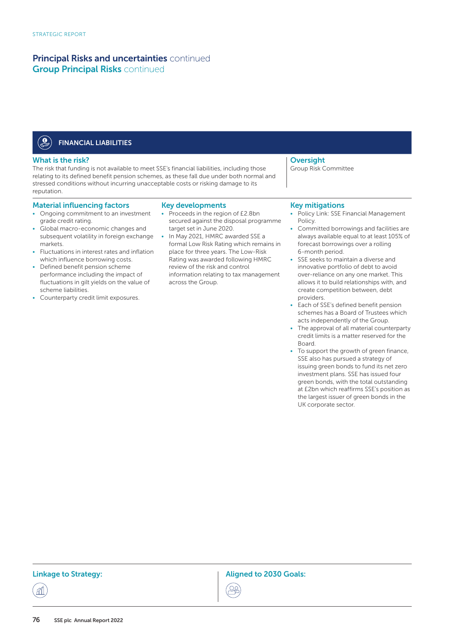#### $\bigcircledast$ FINANCIAL LIABILITIES

#### What is the risk?

The risk that funding is not available to meet SSE's financial liabilities, including those relating to its defined benefit pension schemes, as these fall due under both normal and stressed conditions without incurring unacceptable costs or risking damage to its reputation.

#### Material influencing factors

- Ongoing commitment to an investment grade credit rating.
- Global macro-economic changes and subsequent volatility in foreign exchange markets.
- Fluctuations in interest rates and inflation which influence borrowing costs.
- Defined benefit pension scheme performance including the impact of fluctuations in gilt yields on the value of scheme liabilities.
- Counterparty credit limit exposures.

#### Key developments

- Proceeds in the region of £2.8bn secured against the disposal programme target set in June 2020.
- In May 2021, HMRC awarded SSE a formal Low Risk Rating which remains in place for three years. The Low-Risk Rating was awarded following HMRC review of the risk and control information relating to tax management across the Group.

# **Oversight**

Group Risk Committee

#### Key mitigations

- Policy Link: SSE Financial Management Policy.
- Committed borrowings and facilities are always available equal to at least 105% of forecast borrowings over a rolling 6-month period.
- SSE seeks to maintain a diverse and innovative portfolio of debt to avoid over-reliance on any one market. This allows it to build relationships with, and create competition between, debt providers.
- Each of SSE's defined benefit pension schemes has a Board of Trustees which acts independently of the Group.
- The approval of all material counterparty credit limits is a matter reserved for the Board.
- To support the growth of green finance, SSE also has pursued a strategy of issuing green bonds to fund its net zero investment plans. SSE has issued four green bonds, with the total outstanding at £2bn which reaffirms SSE's position as the largest issuer of green bonds in the UK corporate sector.

Linkage to Strategy: The Communication of the Aligned to 2030 Goals:



丞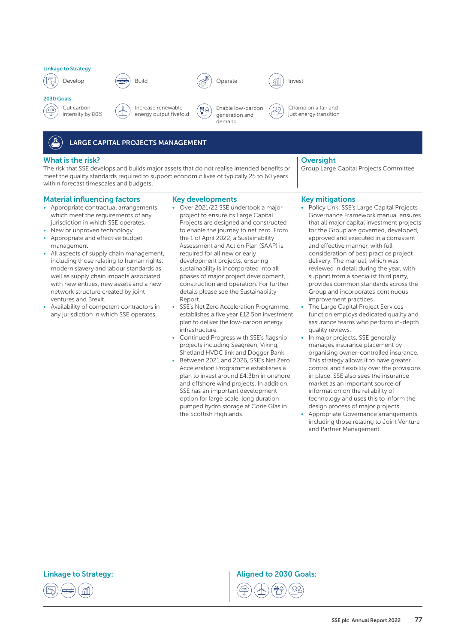

2030 Goals

 $\frac{1}{\sqrt{2}}$ 









Build  $\binom{R^{gg}}{10}$  Operate  $\binom{R^{gg}}{10}$  Invest

₩¢



Champion a fair and ୍ଠୁତ୍

just energy transition

# LARGE CAPITAL PROJECTS MANAGEMENT

#### What is the risk?

The risk that SSE develops and builds major assets that do not realise intended benefits or meet the quality standards required to support economic lives of typically 25 to 60 years within forecast timescales and budgets.

#### Material influencing factors

- Appropriate contractual arrangements which meet the requirements of any jurisdiction in which SSE operates.
- New or unproven technology
- Appropriate and effective budget management.
- All aspects of supply chain management, including those relating to human rights, modern slavery and labour standards as well as supply chain impacts associated with new entities, new assets and a new network structure created by joint ventures and Brexit.
- Availability of competent contractors in any jurisdiction in which SSE operates.

Key developments • Over 2021/22 SSE undertook a major project to ensure its Large Capital Projects are designed and constructed to enable the journey to net zero. From the 1 of April 2022, a Sustainability Assessment and Action Plan (SAAP) is required for all new or early development projects, ensuring sustainability is incorporated into all phases of major project development, construction and operation. For further details please see the Sustainability Report.

- SSE's Net Zero Acceleration Programme, establishes a five year £12.5bn investment plan to deliver the low-carbon energy infrastructure.
- Continued Progress with SSE's flagship projects including Seagreen, Viking, Shetland HVDC link and Dogger Bank.
- Between 2021 and 2026, SSE's Net Zero Acceleration Programme establishes a plan to invest around £4.3bn in onshore and offshore wind projects. In addition, SSE has an important development option for large scale, long duration pumped hydro storage at Corie Glas in the Scottish Highlands.

#### **Oversight**

Group Large Capital Projects Committee

#### Key mitigations

- Policy Link: SSE's Large Capital Projects Governance Framework manual ensures that all major capital investment projects for the Group are governed, developed, approved and executed in a consistent and effective manner, with full consideration of best practice project delivery. The manual, which was reviewed in detail during the year, with support from a specialist third party, provides common standards across the Group and incorporates continuous improvement practices.
- The Large Capital Project Services function employs dedicated quality and assurance teams who perform in-depth quality reviews.
- In major projects, SSE generally manages insurance placement by organising owner-controlled insurance. This strategy allows it to have greater control and flexibility over the provisions in place. SSE also sees the insurance market as an important source of information on the reliability of technology and uses this to inform the design process of major projects.
- Appropriate Governance arrangements, including those relating to Joint Venture and Partner Management.



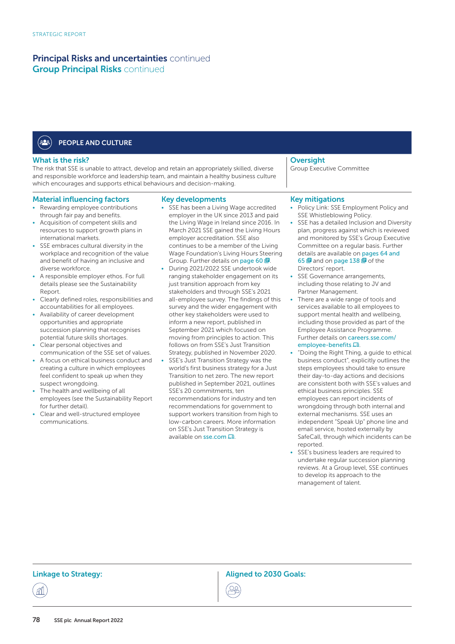#### ′≗≗ PEOPLE AND CULTURE

#### What is the risk?

The risk that SSE is unable to attract, develop and retain an appropriately skilled, diverse and responsible workforce and leadership team, and maintain a healthy business culture which encourages and supports ethical behaviours and decision-making.

#### Material influencing factors

- Rewarding employee contributions through fair pay and benefits.
- Acquisition of competent skills and resources to support growth plans in international markets.
- SSE embraces cultural diversity in the workplace and recognition of the value and benefit of having an inclusive and diverse workforce.
- A responsible employer ethos. For full details please see the Sustainability Report.
- Clearly defined roles, responsibilities and accountabilities for all employees.
- Availability of career development opportunities and appropriate succession planning that recognises potential future skills shortages.
- Clear personal objectives and communication of the SSE set of values.
- A focus on ethical business conduct and creating a culture in which employees feel confident to speak up when they suspect wrongdoing.
- The health and wellbeing of all employees (see the Sustainability Report for further detail).
- Clear and well-structured employee communications.

#### Key developments

- SSE has been a Living Wage accredited employer in the UK since 2013 and paid the Living Wage in Ireland since 2016. In March 2021 SSE gained the Living Hours employer accreditation. SSE also continues to be a member of the Living Wage Foundation's Living Hours Steering Group. Further details on page 60 **日**.
- During 2021/2022 SSE undertook wide ranging stakeholder engagement on its just transition approach from key stakeholders and through SSE's 2021 all-employee survey. The findings of this survey and the wider engagement with other key stakeholders were used to inform a new report, published in September 2021 which focused on moving from principles to action. This follows on from SSE's Just Transition Strategy, published in November 2020.
- SSE's Just Transition Strategy was the world's first business strategy for a Just Transition to net zero. The new report published in September 2021, outlines SSE's 20 commitments, ten recommendations for industry and ten recommendations for government to support workers transition from high to low-carbon careers. More information on SSE's Just Transition Strategy is available on  $\mathsf{sse}.\mathsf{com}\,\mathsf{\Xi}$

#### **Oversight**

Group Executive Committee

#### Key mitigations

- Policy Link: SSE Employment Policy and SSE Whistleblowing Policy.
- SSE has a detailed Inclusion and Diversity plan, progress against which is reviewed and monitored by SSE's Group Executive Committee on a regular basis. Further details are available on pages 64 and 65  $\blacksquare$  and on page 138  $\blacksquare$  of the Directors' report.
- SSE Governance arrangements, including those relating to JV and Partner Management.
- There are a wide range of tools and services available to all employees to support mental health and wellbeing, including those provided as part of the Employee Assistance Programme. Further details on careers.sse.com/ [employee-benefits](https://careers.sse.com/employee-benefits)  $\Box$
- "Doing the Right Thing, a guide to ethical business conduct", explicitly outlines the steps employees should take to ensure their day-to-day actions and decisions are consistent both with SSE's values and ethical business principles. SSE employees can report incidents of wrongdoing through both internal and external mechanisms. SSE uses an independent "Speak Up" phone line and email service, hosted externally by SafeCall, through which incidents can be reported.
- SSE's business leaders are required to undertake regular succession planning reviews. At a Group level, SSE continues to develop its approach to the management of talent.

丞

Linkage to Strategy: The Communication of the Aligned to 2030 Goals:

22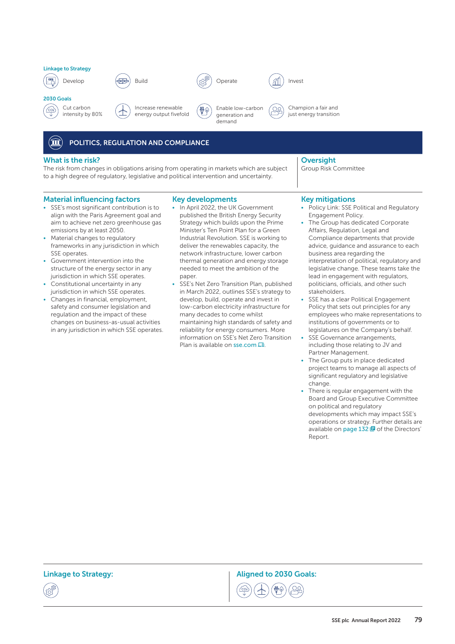

2030 Goals













Build  $\binom{R^{gg}}{10}$  Operate  $\binom{R^{gg}}{10}$  Invest

୍ରୁପ୍

Champion a fair and just energy transition

#### $\mathbf{\widehat{m}}$ POLITICS, REGULATION AND COMPLIANCE

#### What is the risk?

The risk from changes in obligations arising from operating in markets which are subject to a high degree of regulatory, legislative and political intervention and uncertainty.

#### Material influencing factors

- SSE's most significant contribution is to align with the Paris Agreement goal and aim to achieve net zero greenhouse gas emissions by at least 2050.
- Material changes to regulatory frameworks in any jurisdiction in which SSE operates.
- Government intervention into the structure of the energy sector in any jurisdiction in which SSE operates.
- Constitutional uncertainty in any jurisdiction in which SSE operates.
- Changes in financial, employment, safety and consumer legislation and regulation and the impact of these changes on business-as-usual activities in any jurisdiction in which SSE operates.

# Key developments

- In April 2022, the UK Government published the British Energy Security Strategy which builds upon the Prime Minister's Ten Point Plan for a Green Industrial Revolution. SSE is working to deliver the renewables capacity, the network infrastructure, lower carbon thermal generation and energy storage needed to meet the ambition of the paper.
- SSE's Net Zero Transition Plan, published in March 2022, outlines SSE's strategy to develop, build, operate and invest in low-carbon electricity infrastructure for many decades to come whilst maintaining high standards of safety and reliability for energy consumers. More information on SSE's Net Zero Transition Plan is available on [sse.com](www.sse.com) La.

 $\overbrace{\phantom{a}}^{\overbrace{\phantom{a}}\phantom{a}}$ 

# **Oversight**

Group Risk Committee

#### Key mitigations

- Policy Link: SSE Political and Regulatory Engagement Policy.
- The Group has dedicated Corporate Affairs, Regulation, Legal and Compliance departments that provide advice, guidance and assurance to each business area regarding the interpretation of political, regulatory and legislative change. These teams take the lead in engagement with regulators, politicians, officials, and other such stakeholders.
- SSE has a clear Political Engagement Policy that sets out principles for any employees who make representations to institutions of governments or to legislatures on the Company's behalf.
- SSE Governance arrangements, including those relating to JV and Partner Management.
- The Group puts in place dedicated project teams to manage all aspects of significant regulatory and legislative change.
- There is regular engagement with the Board and Group Executive Committee on political and regulatory developments which may impact SSE's operations or strategy. Further details are available on page  $132 \boxtimes$  of the Directors' Report.

Linkage to Strategy: The Communication of the Aligned to 2030 Goals:

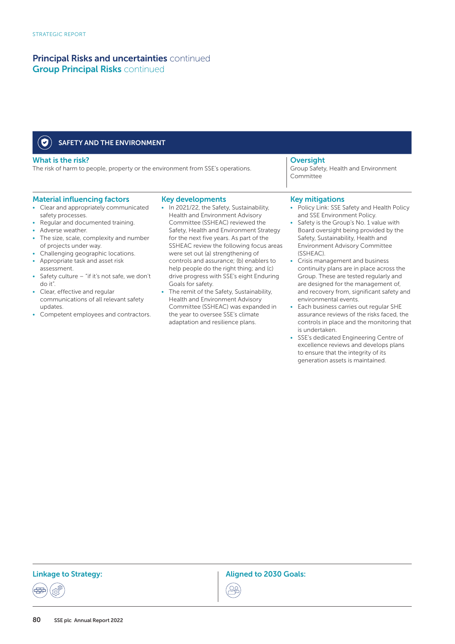| SAFETY AND THE ENVIRONMENT                                                                                                               |                                                                                                                                            |                                                                                                                                                |
|------------------------------------------------------------------------------------------------------------------------------------------|--------------------------------------------------------------------------------------------------------------------------------------------|------------------------------------------------------------------------------------------------------------------------------------------------|
| What is the risk?<br>The risk of harm to people, property or the environment from SSE's operations.                                      |                                                                                                                                            | <b>Oversight</b><br>Group Safety, Health and Environment<br>Committee                                                                          |
| <b>Material influencing factors</b><br>• Clear and appropriately communicated<br>safety processes.<br>• Regular and documented training. | <b>Key developments</b><br>• In 2021/22, the Safety, Sustainability,<br>Health and Environment Advisory<br>Committee (SSHEAC) reviewed the | <b>Key mitigations</b><br>• Policy Link: SSE Safety and Health Policy<br>and SSE Environment Policy.<br>Safety is the Group's No. 1 value with |

- Adverse weather.
- The size, scale, complexity and number of projects under way.
- Challenging geographic locations.
- Appropriate task and asset risk
- assessment.
- Safety culture "if it's not safe, we don't do it".
- Clear, effective and regular communications of all relevant safety updates.
- Competent employees and contractors.
- Safety, Health and Environment Strategy for the next five years. As part of the SSHEAC review the following focus areas were set out (a) strengthening of controls and assurance; (b) enablers to help people do the right thing; and (c) drive progress with SSE's eight Enduring Goals for safety.
- The remit of the Safety, Sustainability, Health and Environment Advisory Committee (SSHEAC) was expanded in the year to oversee SSE's climate adaptation and resilience plans.

#### ey mitigations

- Policy Link: SSE Safety and Health Policy and SSE Environment Policy.
- Safety is the Group's No. 1 value with Board oversight being provided by the Safety, Sustainability, Health and Environment Advisory Committee (SSHEAC).
- Crisis management and business continuity plans are in place across the Group. These are tested regularly and are designed for the management of, and recovery from, significant safety and environmental events.
- Each business carries out regular SHE assurance reviews of the risks faced, the controls in place and the monitoring that is undertaken.
- SSE's dedicated Engineering Centre of excellence reviews and develops plans to ensure that the integrity of its generation assets is maintained.

Linkage to Strategy: The Communication of the Aligned to 2030 Goals: